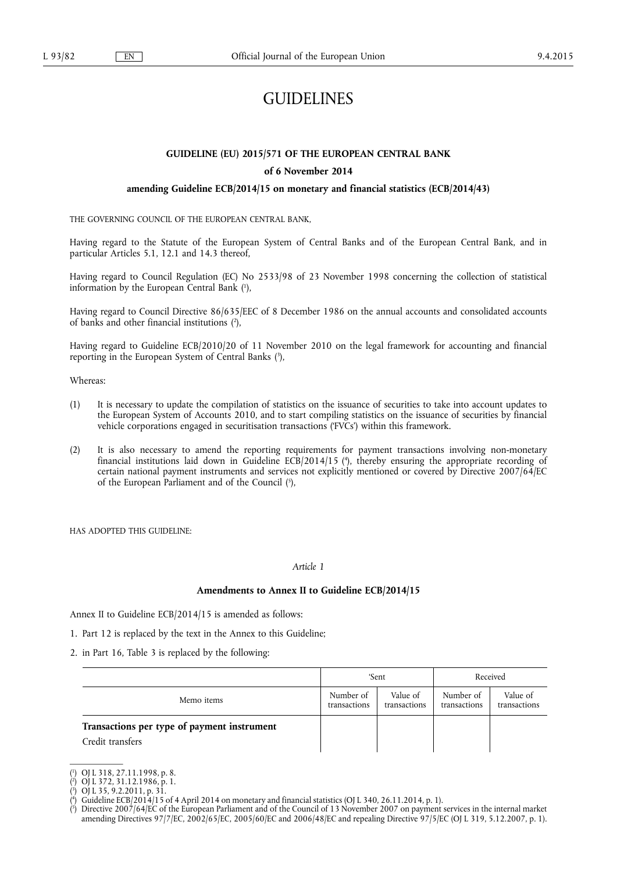# **GUIDELINES**

# **GUIDELINE (EU) 2015/571 OF THE EUROPEAN CENTRAL BANK**

# **of 6 November 2014**

# **amending Guideline ECB/2014/15 on monetary and financial statistics (ECB/2014/43)**

THE GOVERNING COUNCIL OF THE EUROPEAN CENTRAL BANK,

Having regard to the Statute of the European System of Central Banks and of the European Central Bank, and in particular Articles 5.1, 12.1 and 14.3 thereof,

Having regard to Council Regulation (EC) No 2533/98 of 23 November 1998 concerning the collection of statistical information by the European Central Bank ( 1 ),

Having regard to Council Directive 86/635/EEC of 8 December 1986 on the annual accounts and consolidated accounts of banks and other financial institutions ( 2 ),

Having regard to Guideline ECB/2010/20 of 11 November 2010 on the legal framework for accounting and financial reporting in the European System of Central Banks ( 3 ),

Whereas:

- (1) It is necessary to update the compilation of statistics on the issuance of securities to take into account updates to the European System of Accounts 2010, and to start compiling statistics on the issuance of securities by financial vehicle corporations engaged in securitisation transactions ('FVCs') within this framework.
- (2) It is also necessary to amend the reporting requirements for payment transactions involving non-monetary financial institutions laid down in Guideline ECB/2014/15 ( 4 ), thereby ensuring the appropriate recording of certain national payment instruments and services not explicitly mentioned or covered by Directive 2007/64/EC of the European Parliament and of the Council (5),

HAS ADOPTED THIS GUIDELINE:

## *Article 1*

#### **Amendments to Annex II to Guideline ECB/2014/15**

Annex II to Guideline ECB/2014/15 is amended as follows:

- 1. Part 12 is replaced by the text in the Annex to this Guideline;
- 2. in Part 16, Table 3 is replaced by the following:

|                                                                 | 'Sent                     |                          | Received                  |                          |
|-----------------------------------------------------------------|---------------------------|--------------------------|---------------------------|--------------------------|
| Memo items                                                      | Number of<br>transactions | Value of<br>transactions | Number of<br>transactions | Value of<br>transactions |
| Transactions per type of payment instrument<br>Credit transfers |                           |                          |                           |                          |

<sup>(</sup> 1 ) OJ L 318, 27.11.1998, p. 8.

<sup>(</sup> 2 ) OJ L 372, 31.12.1986, p. 1.

<sup>(</sup> 3 ) OJ L 35, 9.2.2011, p. 31.

<sup>(</sup> 4 ) Guideline ECB/2014/15 of 4 April 2014 on monetary and financial statistics (OJ L 340, 26.11.2014, p. 1).

<sup>(</sup> 5 ) Directive 2007/64/EC of the European Parliament and of the Council of 13 November 2007 on payment services in the internal market amending Directives 97/7/EC, 2002/65/EC, 2005/60/EC and 2006/48/EC and repealing Directive 97/5/EC (OJ L 319, 5.12.2007, p. 1).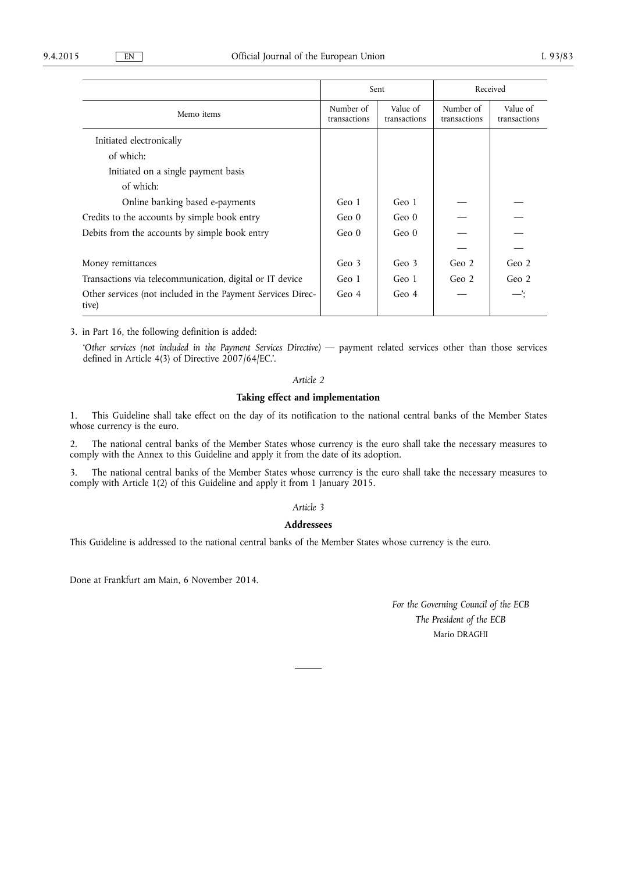|                                                                      | Sent                      |                          | Received                  |                          |
|----------------------------------------------------------------------|---------------------------|--------------------------|---------------------------|--------------------------|
| Memo items                                                           | Number of<br>transactions | Value of<br>transactions | Number of<br>transactions | Value of<br>transactions |
| Initiated electronically                                             |                           |                          |                           |                          |
| of which:                                                            |                           |                          |                           |                          |
| Initiated on a single payment basis                                  |                           |                          |                           |                          |
| of which:                                                            |                           |                          |                           |                          |
| Online banking based e-payments                                      | Geo 1                     | Geo 1                    |                           |                          |
| Credits to the accounts by simple book entry                         | Geo <sub>0</sub>          | Geo $0$                  |                           |                          |
| Debits from the accounts by simple book entry                        | Geo <sub>0</sub>          | Geo <sub>0</sub>         |                           |                          |
|                                                                      |                           |                          |                           |                          |
| Money remittances                                                    | Geo 3                     | Geo 3                    | Geo <sub>2</sub>          | Geo <sub>2</sub>         |
| Transactions via telecommunication, digital or IT device             | Geo 1                     | Geo 1                    | Geo <sub>2</sub>          | Geo <sub>2</sub>         |
| Other services (not included in the Payment Services Direc-<br>tive) | Geo <sub>4</sub>          | Geo <sub>4</sub>         |                           | —':                      |

3. in Part 16, the following definition is added:

'*Other services (not included in the Payment Services Directive)* — payment related services other than those services defined in Article 4(3) of Directive 2007/64/EC.'.

# *Article 2*

# **Taking effect and implementation**

1. This Guideline shall take effect on the day of its notification to the national central banks of the Member States whose currency is the euro.

2. The national central banks of the Member States whose currency is the euro shall take the necessary measures to comply with the Annex to this Guideline and apply it from the date of its adoption.

3. The national central banks of the Member States whose currency is the euro shall take the necessary measures to comply with Article 1(2) of this Guideline and apply it from 1 January 2015.

# *Article 3*

# **Addressees**

This Guideline is addressed to the national central banks of the Member States whose currency is the euro.

Done at Frankfurt am Main, 6 November 2014.

*For the Governing Council of the ECB The President of the ECB*  Mario DRAGHI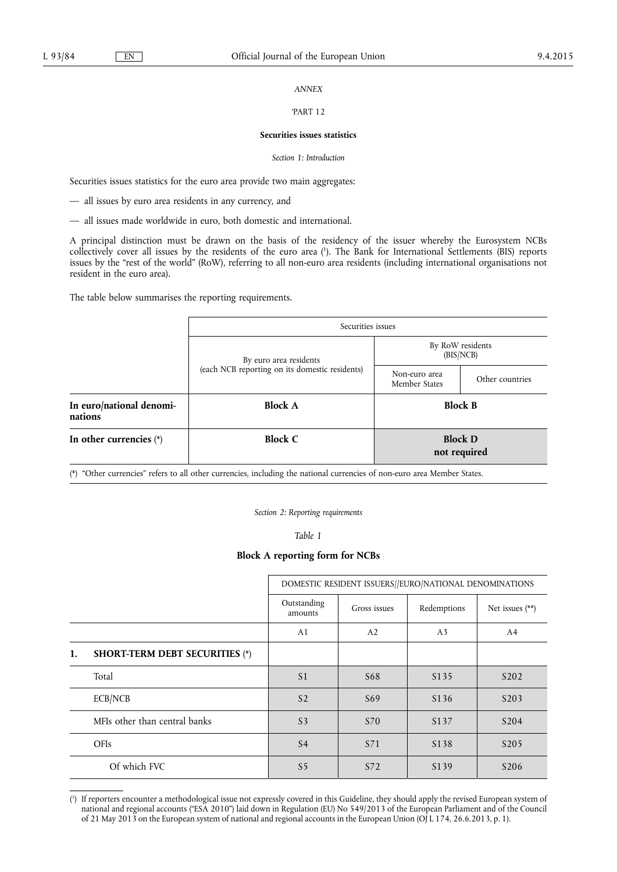# *ANNEX*

### 'PART 12

#### **Securities issues statistics**

#### *Section 1: Introduction*

Securities issues statistics for the euro area provide two main aggregates:

— all issues by euro area residents in any currency, and

— all issues made worldwide in euro, both domestic and international.

A principal distinction must be drawn on the basis of the residency of the issuer whereby the Eurosystem NCBs collectively cover all issues by the residents of the euro area ( 1 ). The Bank for International Settlements (BIS) reports issues by the "rest of the world" (RoW), referring to all non-euro area residents (including international organisations not resident in the euro area).

The table below summarises the reporting requirements.

|                                     | Securities issues                              |                                |                                |  |  |
|-------------------------------------|------------------------------------------------|--------------------------------|--------------------------------|--|--|
|                                     | By euro area residents                         |                                | By RoW residents<br>(BIS/NCB)  |  |  |
|                                     | (each NCB reporting on its domestic residents) | Non-euro area<br>Member States | Other countries                |  |  |
| In euro/national denomi-<br>nations | <b>Block A</b>                                 |                                | <b>Block B</b>                 |  |  |
| In other currencies $(*)$           | <b>Block C</b>                                 |                                | <b>Block D</b><br>not required |  |  |

(\*) "Other currencies" refers to all other currencies, including the national currencies of non-euro area Member States.

*Section 2: Reporting requirements* 

*Table 1* 

## **Block A reporting form for NCBs**

|    |                                       | DOMESTIC RESIDENT ISSUERS//EURO/NATIONAL DENOMINATIONS |                 |                   |                   |
|----|---------------------------------------|--------------------------------------------------------|-----------------|-------------------|-------------------|
|    |                                       | Outstanding<br>amounts                                 | Gross issues    | Redemptions       | Net issues $(**)$ |
|    |                                       | A1                                                     | A2              | A <sub>3</sub>    | A4                |
| 1. | <b>SHORT-TERM DEBT SECURITIES (*)</b> |                                                        |                 |                   |                   |
|    | Total                                 | S <sub>1</sub>                                         | S <sub>68</sub> | S <sub>1</sub> 35 | S <sub>202</sub>  |
|    | ECB/NCB                               | S <sub>2</sub>                                         | S <sub>69</sub> | S <sub>1</sub> 36 | S <sub>20</sub> 3 |
|    | MFIs other than central banks         | S <sub>3</sub>                                         | S70             | S <sub>1</sub> 37 | S <sub>204</sub>  |
|    | OFIs                                  | S <sub>4</sub>                                         | S71             | S <sub>1</sub> 38 | S <sub>205</sub>  |
|    | Of which FVC                          | S <sub>5</sub>                                         | S72             | S139              | S <sub>206</sub>  |

<sup>(</sup> 1 ) If reporters encounter a methodological issue not expressly covered in this Guideline, they should apply the revised European system of national and regional accounts ("ESA 2010") laid down in Regulation (EU) No 549/2013 of the European Parliament and of the Council of 21 May 2013 on the European system of national and regional accounts in the European Union (OJ L 174, 26.6.2013, p. 1).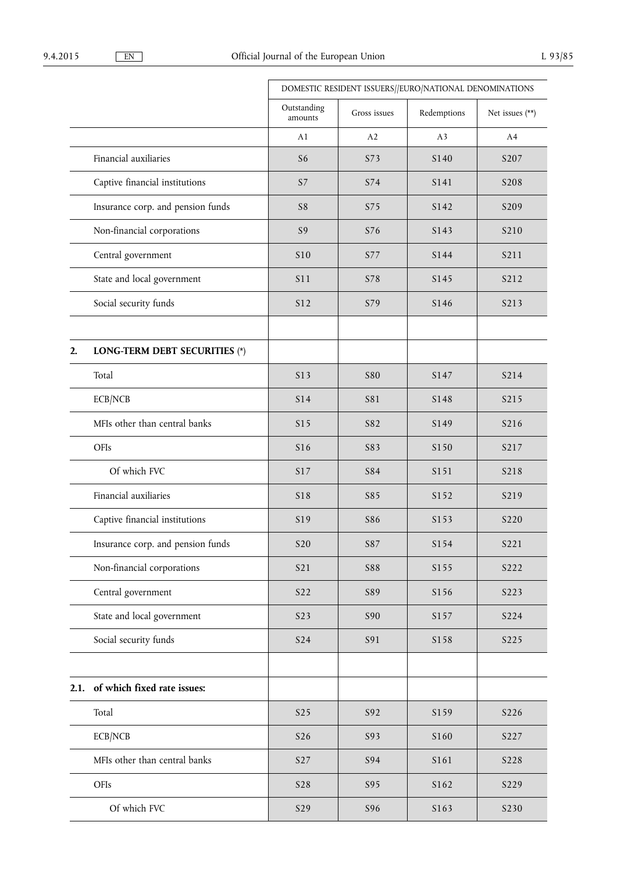|      |                                   | DOMESTIC RESIDENT ISSUERS//EURO/NATIONAL DENOMINATIONS |              |                  |                   |
|------|-----------------------------------|--------------------------------------------------------|--------------|------------------|-------------------|
|      |                                   | Outstanding<br>amounts                                 | Gross issues | Redemptions      | Net issues (**)   |
|      |                                   | A1                                                     | A2           | A <sub>3</sub>   | A4                |
|      | Financial auxiliaries             | S <sub>6</sub>                                         | S73          | S <sub>140</sub> | S207              |
|      | Captive financial institutions    | S7                                                     | S74          | S141             | S <sub>208</sub>  |
|      | Insurance corp. and pension funds | S8                                                     | S75          | S142             | S209              |
|      | Non-financial corporations        | S9                                                     | S76          | S143             | S <sub>2</sub> 10 |
|      | Central government                | <b>S10</b>                                             | S77          | S144             | S211              |
|      | State and local government        | S11                                                    | S78          | S145             | S212              |
|      | Social security funds             | S12                                                    | S79          | S146             | S213              |
| 2.   | LONG-TERM DEBT SECURITIES (*)     |                                                        |              |                  |                   |
|      | Total                             | S13                                                    | <b>S80</b>   | S147             | S214              |
|      | ECB/NCB                           | S14                                                    | S81          | S148             | S215              |
|      | MFIs other than central banks     | S15                                                    | S82          | S149             | S216              |
|      | OFIs                              | S16                                                    | S83          | S150             | S217              |
|      | Of which FVC                      | S17                                                    | S84          | S151             | S218              |
|      | Financial auxiliaries             | S18                                                    | S85          | S152             | S219              |
|      | Captive financial institutions    | S19                                                    | <b>S86</b>   | S <sub>153</sub> | S <sub>2</sub> 20 |
|      | Insurance corp. and pension funds | <b>S20</b>                                             | S87          | S154             | S221              |
|      | Non-financial corporations        | <b>S21</b>                                             | <b>S88</b>   | S155             | S222              |
|      | Central government                | S22                                                    | S89          | S156             | S223              |
|      | State and local government        | S <sub>23</sub>                                        | S90          | S157             | S224              |
|      | Social security funds             | <b>S24</b>                                             | S91          | S158             | S225              |
|      |                                   |                                                        |              |                  |                   |
| 2.1. | of which fixed rate issues:       |                                                        |              |                  |                   |
|      | Total                             | S <sub>25</sub>                                        | S92          | S159             | S226              |
|      | ECB/NCB                           | S26                                                    | S93          | S160             | S227              |
|      | MFIs other than central banks     | S <sub>27</sub>                                        | S94          | S161             | S228              |
|      | OFIs                              | <b>S28</b>                                             | S95          | S162             | S229              |
|      | Of which FVC                      | S29                                                    | S96          | S163             | S230              |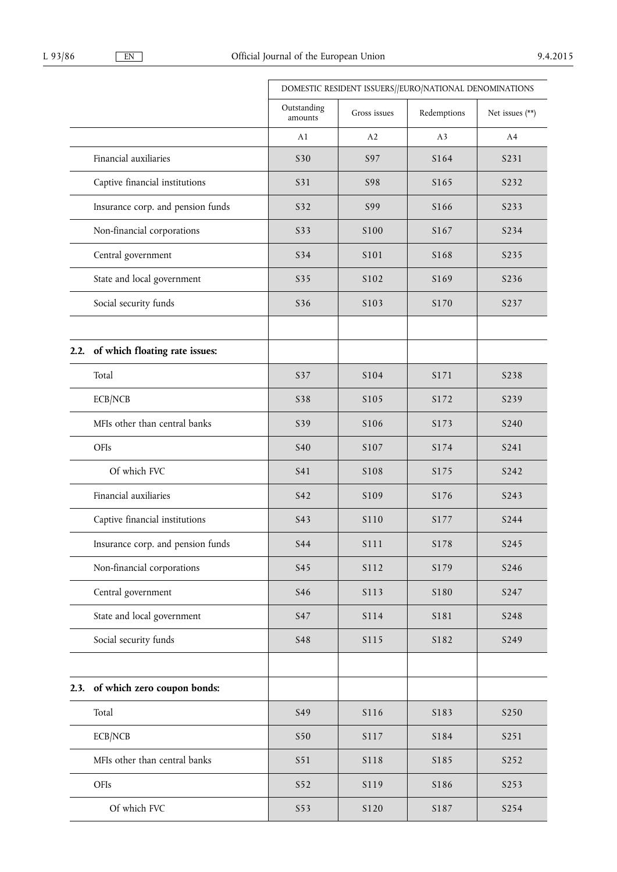|                                        | DOMESTIC RESIDENT ISSUERS//EURO/NATIONAL DENOMINATIONS |              |                |                 |
|----------------------------------------|--------------------------------------------------------|--------------|----------------|-----------------|
|                                        | Outstanding<br>amounts                                 | Gross issues | Redemptions    | Net issues (**) |
|                                        | A1                                                     | A2           | A <sub>3</sub> | A4              |
| Financial auxiliaries                  | S30                                                    | S97          | S164           | S231            |
| Captive financial institutions         | S31                                                    | <b>S98</b>   | S165           | S232            |
| Insurance corp. and pension funds      | S32                                                    | S99          | S166           | S233            |
| Non-financial corporations             | S33                                                    | S100         | S167           | S234            |
| Central government                     | S34                                                    | S101         | S168           | S235            |
| State and local government             | S35                                                    | S102         | S169           | S236            |
| Social security funds                  | S36                                                    | S103         | S170           | S237            |
| of which floating rate issues:<br>2.2. |                                                        |              |                |                 |
| Total                                  | S37                                                    | S104         | S171           | S238            |
| ECB/NCB                                | S38                                                    | S105         | S172           | S239            |
| MFIs other than central banks          | S39                                                    | S106         | S173           | S240            |
| OFIs                                   | <b>S40</b>                                             | S107         | S174           | S241            |
| Of which FVC                           | S41                                                    | S108         | S175           | S242            |
| Financial auxiliaries                  | S42                                                    | S109         | S176           | S243            |
| Captive financial institutions         | S43                                                    | S110         | S177           | S244            |
| Insurance corp. and pension funds      | <b>S44</b>                                             | S111         | S178           | S245            |
| Non-financial corporations             | S45                                                    | S112         | S179           | S246            |
| Central government                     | <b>S46</b>                                             | S113         | S180           | S247            |
| State and local government             | S47                                                    | S114         | S181           | S248            |
| Social security funds                  | <b>S48</b>                                             | S115         | S182           | S249            |
|                                        |                                                        |              |                |                 |
| of which zero coupon bonds:<br>2.3.    |                                                        |              |                |                 |
| Total                                  | S49                                                    | S116         | S183           | S250            |
| ECB/NCB                                | S50                                                    | S117         | S184           | S251            |
| MFIs other than central banks          | S51                                                    | S118         | S185           | S252            |
| OFIs                                   | S52                                                    | S119         | S186           | S253            |
| Of which FVC                           | S53                                                    | S120         | S187           | S254            |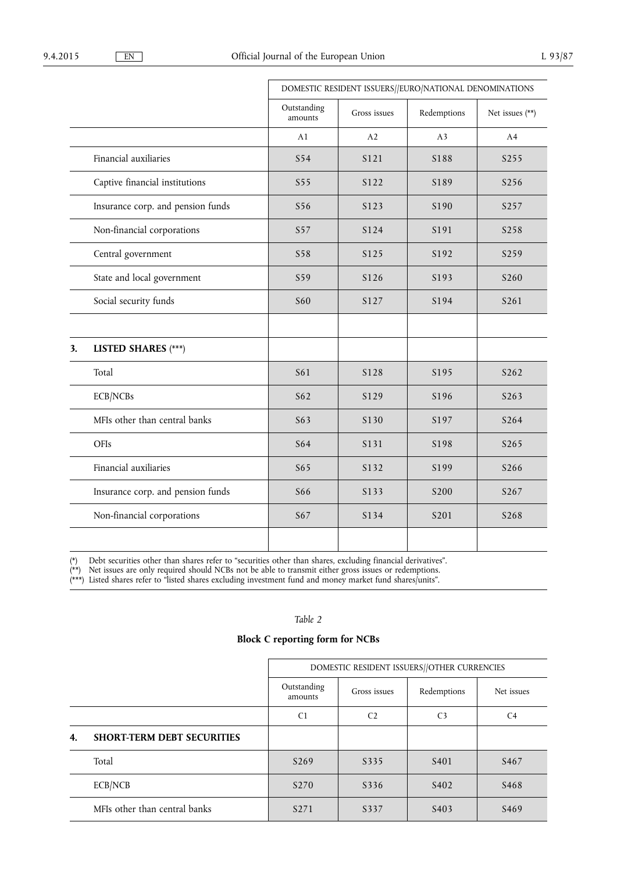|    |                                   | DOMESTIC RESIDENT ISSUERS//EURO/NATIONAL DENOMINATIONS |              |                |                 |
|----|-----------------------------------|--------------------------------------------------------|--------------|----------------|-----------------|
|    |                                   | Outstanding<br>amounts                                 | Gross issues | Redemptions    | Net issues (**) |
|    |                                   | A1                                                     | A2           | A <sub>3</sub> | A4              |
|    | Financial auxiliaries             | S54                                                    | S121         | S188           | S255            |
|    | Captive financial institutions    | S55                                                    | S122         | S189           | S256            |
|    | Insurance corp. and pension funds | S56                                                    | S123         | S190           | S257            |
|    | Non-financial corporations        | S57                                                    | S124         | S191           | S258            |
|    | Central government                | <b>S58</b>                                             | S125         | S192           | S259            |
|    | State and local government        | S59                                                    | S126         | S193           | S260            |
|    | Social security funds             | <b>S60</b>                                             | S127         | S194           | S261            |
|    |                                   |                                                        |              |                |                 |
| 3. | <b>LISTED SHARES</b> (***)        |                                                        |              |                |                 |
|    | Total                             | S61                                                    | S128         | S195           | S262            |
|    | ECB/NCBs                          | S62                                                    | S129         | S196           | S263            |
|    | MFIs other than central banks     | S63                                                    | S130         | S197           | S264            |
|    | OFIs                              | S64                                                    | S131         | S198           | S265            |
|    | Financial auxiliaries             | S65                                                    | S132         | S199           | S266            |
|    | Insurance corp. and pension funds | <b>S66</b>                                             | S133         | S200           | S267            |
|    | Non-financial corporations        | S67                                                    | S134         | S201           | S268            |
|    |                                   |                                                        |              |                |                 |

(\*) Debt securities other than shares refer to "securities other than shares, excluding financial derivatives".

(\*\*) Net issues are only required should NCBs not be able to transmit either gross issues or redemptions.

(\*\*\*) Listed shares refer to "listed shares excluding investment fund and money market fund shares/units".

# *Table 2*

# **Block C reporting form for NCBs**

|    |                                   | DOMESTIC RESIDENT ISSUERS//OTHER CURRENCIES |                |                   |                  |
|----|-----------------------------------|---------------------------------------------|----------------|-------------------|------------------|
|    |                                   | Outstanding<br>amounts                      | Gross issues   | Redemptions       | Net issues       |
|    |                                   | C <sub>1</sub>                              | C <sub>2</sub> | C <sub>3</sub>    | C <sub>4</sub>   |
| 4. | <b>SHORT-TERM DEBT SECURITIES</b> |                                             |                |                   |                  |
|    | Total                             | S <sub>269</sub>                            | S335           | S <sub>401</sub>  | S <sub>467</sub> |
|    | ECB/NCB                           | S <sub>270</sub>                            | S336           | S <sub>402</sub>  | S <sub>468</sub> |
|    | MFIs other than central banks     | S <sub>271</sub>                            | S337           | S <sub>40</sub> 3 | S <sub>469</sub> |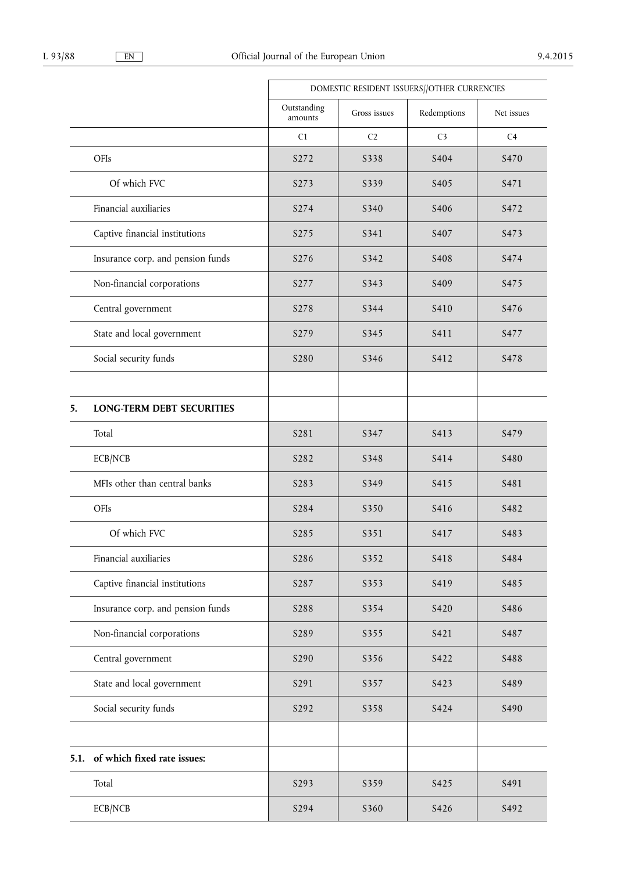|      |                                   | DOMESTIC RESIDENT ISSUERS//OTHER CURRENCIES |                |                   |                  |
|------|-----------------------------------|---------------------------------------------|----------------|-------------------|------------------|
|      |                                   | Outstanding<br>amounts                      | Gross issues   | Redemptions       | Net issues       |
|      |                                   | C1                                          | C <sub>2</sub> | C <sub>3</sub>    | C <sub>4</sub>   |
|      | OFIs                              | S272                                        | S338           | S <sub>404</sub>  | S470             |
|      | Of which FVC                      | S273                                        | S339           | S <sub>405</sub>  | S471             |
|      | Financial auxiliaries             | S274                                        | S340           | S <sub>406</sub>  | S472             |
|      | Captive financial institutions    | S275                                        | S341           | S <sub>40</sub> 7 | S473             |
|      | Insurance corp. and pension funds | S276                                        | S342           | S <sub>40</sub> 8 | S474             |
|      | Non-financial corporations        | S277                                        | S343           | S <sub>409</sub>  | S <sub>475</sub> |
|      | Central government                | S278                                        | S344           | S410              | S476             |
|      | State and local government        | S279                                        | S345           | S411              | S477             |
|      | Social security funds             | S <sub>280</sub>                            | S346           | S412              | S478             |
|      |                                   |                                             |                |                   |                  |
| 5.   | <b>LONG-TERM DEBT SECURITIES</b>  |                                             |                |                   |                  |
|      | Total                             | S281                                        | S347           | S413              | S479             |
|      | ECB/NCB                           | S282                                        | S348           | S414              | S480             |
|      | MFIs other than central banks     | S283                                        | S349           | S <sub>4</sub> 15 | S481             |
|      | OFIs                              | S284                                        | S350           | S416              | S482             |
|      | Of which FVC                      | S285                                        | S351           | S417              | S483             |
|      | Financial auxiliaries             | S286                                        | S352           | S418              | S484             |
|      | Captive financial institutions    | S287                                        | S353           | S419              | S485             |
|      | Insurance corp. and pension funds | S288                                        | S354           | S420              | S486             |
|      | Non-financial corporations        | S289                                        | S355           | S421              | S487             |
|      | Central government                | S290                                        | S356           | S422              | S488             |
|      | State and local government        | S291                                        | S357           | S423              | S489             |
|      | Social security funds             | S292                                        | S358           | S424              | S490             |
|      |                                   |                                             |                |                   |                  |
| 5.1. | of which fixed rate issues:       |                                             |                |                   |                  |
|      | Total                             | S293                                        | S359           | S425              | S491             |
|      | ECB/NCB                           | S294                                        | S360           | S426              | S492             |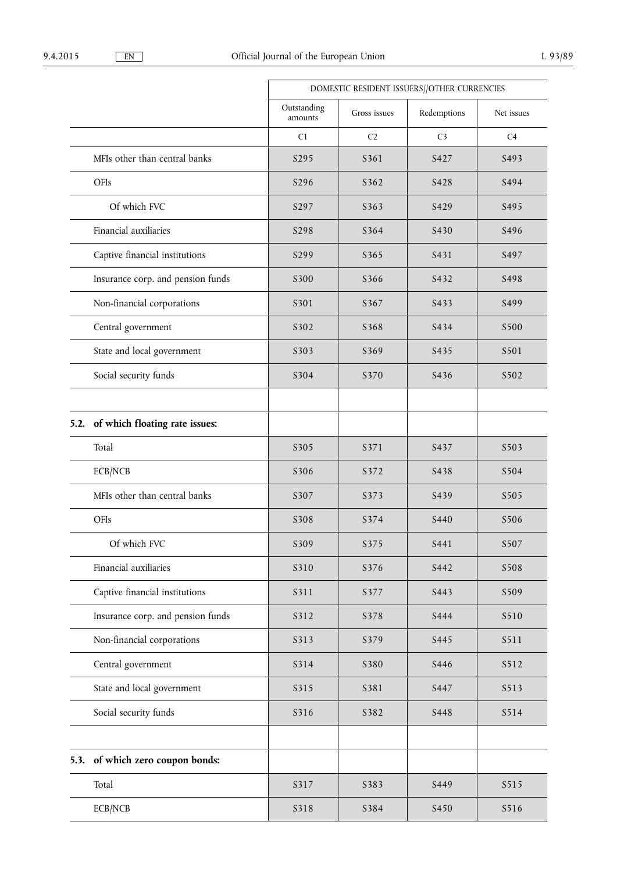|      |                                   |                        | DOMESTIC RESIDENT ISSUERS//OTHER CURRENCIES |                |            |  |
|------|-----------------------------------|------------------------|---------------------------------------------|----------------|------------|--|
|      |                                   | Outstanding<br>amounts | Gross issues                                | Redemptions    | Net issues |  |
|      |                                   | C1                     | C <sub>2</sub>                              | C <sub>3</sub> | C4         |  |
|      | MFIs other than central banks     | S295                   | S361                                        | S427           | S493       |  |
|      | OFIs                              | S296                   | S362                                        | S428           | S494       |  |
|      | Of which FVC                      | S297                   | S363                                        | S429           | S495       |  |
|      | Financial auxiliaries             | S298                   | S364                                        | S430           | S496       |  |
|      | Captive financial institutions    | S299                   | S365                                        | S431           | S497       |  |
|      | Insurance corp. and pension funds | S300                   | S366                                        | S432           | S498       |  |
|      | Non-financial corporations        | S301                   | S367                                        | S433           | S499       |  |
|      | Central government                | S302                   | S368                                        | S434           | S500       |  |
|      | State and local government        | S303                   | S369                                        | S435           | S501       |  |
|      | Social security funds             | S304                   | S370                                        | S436           | S502       |  |
|      |                                   |                        |                                             |                |            |  |
| 5.2. | of which floating rate issues:    |                        |                                             |                |            |  |
|      | Total                             | S305                   | S371                                        | S437           | S503       |  |
|      | ECB/NCB                           | S306                   | S372                                        | S438           | S504       |  |
|      | MFIs other than central banks     | S307                   | S373                                        | S439           | S505       |  |
|      | OFIs                              | S308                   | S374                                        | S440           | S506       |  |
|      | Of which FVC                      | S309                   | S375                                        | S441           | S507       |  |
|      | Financial auxiliaries             | S310                   | S376                                        | S442           | S508       |  |
|      | Captive financial institutions    | S311                   | S377                                        | S443           | S509       |  |
|      | Insurance corp. and pension funds | S312                   | S378                                        | S444           | S510       |  |
|      | Non-financial corporations        | S313                   | S379                                        | S445           | S511       |  |
|      | Central government                | S314                   | S380                                        | S446           | S512       |  |
|      | State and local government        | S315                   | S381                                        | S447           | S513       |  |
|      | Social security funds             | S316                   | S382                                        | S448           | S514       |  |
|      | 5.3. of which zero coupon bonds:  |                        |                                             |                |            |  |
|      | Total                             | S317                   | S383                                        | S449           | S515       |  |
|      | ECB/NCB                           | S318                   | S384                                        | S450           | S516       |  |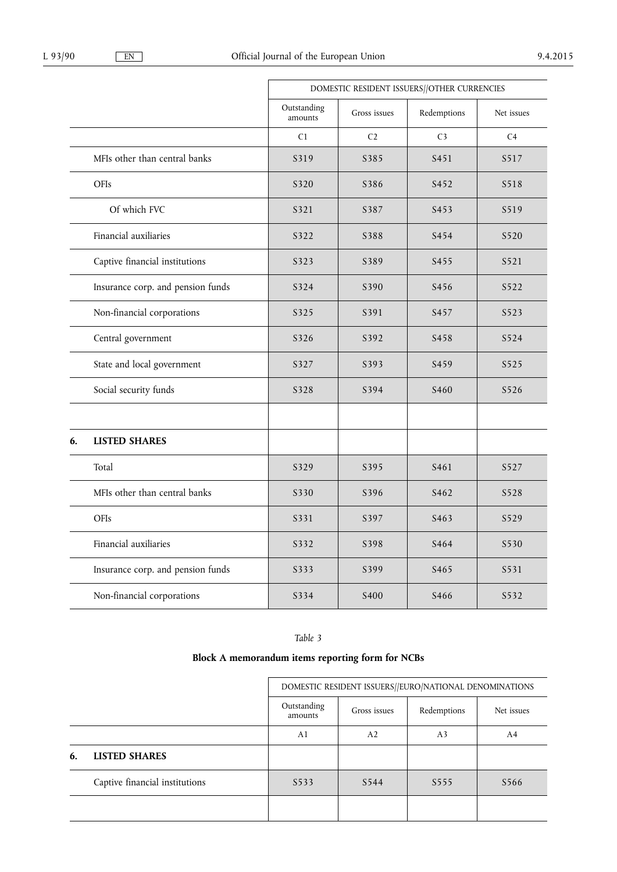|    |                                   |                        | DOMESTIC RESIDENT ISSUERS//OTHER CURRENCIES |                  |                |  |
|----|-----------------------------------|------------------------|---------------------------------------------|------------------|----------------|--|
|    |                                   | Outstanding<br>amounts | Gross issues                                | Redemptions      | Net issues     |  |
|    |                                   | C1                     | C <sub>2</sub>                              | C <sub>3</sub>   | C <sub>4</sub> |  |
|    | MFIs other than central banks     | S319                   | S385                                        | S <sub>451</sub> | S517           |  |
|    | OFIs                              | S320                   | S386                                        | S452             | S518           |  |
|    | Of which FVC                      | S321                   | S387                                        | S453             | S519           |  |
|    | Financial auxiliaries             | S322                   | S388                                        | S454             | S520           |  |
|    | Captive financial institutions    | S323                   | S389                                        | S <sub>455</sub> | S521           |  |
|    | Insurance corp. and pension funds | S324                   | S390                                        | S <sub>456</sub> | S522           |  |
|    | Non-financial corporations        | S325                   | S391                                        | S <sub>457</sub> | S523           |  |
|    | Central government                | S326                   | S392                                        | S458             | S524           |  |
|    | State and local government        | S327                   | S393                                        | S <sub>459</sub> | S525           |  |
|    | Social security funds             | S328                   | S394                                        | S <sub>460</sub> | S526           |  |
|    |                                   |                        |                                             |                  |                |  |
| 6. | <b>LISTED SHARES</b>              |                        |                                             |                  |                |  |
|    | Total                             | S329                   | S395                                        | S <sub>461</sub> | S527           |  |
|    | MFIs other than central banks     | S330                   | S396                                        | S <sub>462</sub> | S528           |  |
|    | OFIs                              | S331                   | S397                                        | S463             | S529           |  |
|    | Financial auxiliaries             | S332                   | S398                                        | S <sub>464</sub> | S530           |  |
|    | Insurance corp. and pension funds | S333                   | S399                                        | S <sub>465</sub> | S531           |  |
|    | Non-financial corporations        | S334                   | S <sub>400</sub>                            | S <sub>466</sub> | S532           |  |

*Table 3* 

# **Block A memorandum items reporting form for NCBs**

|    |                                | DOMESTIC RESIDENT ISSUERS//EURO/NATIONAL DENOMINATIONS |              |                |            |
|----|--------------------------------|--------------------------------------------------------|--------------|----------------|------------|
|    |                                | Outstanding<br>amounts                                 | Gross issues | Redemptions    | Net issues |
|    |                                | A <sub>1</sub>                                         | A2           | A <sub>3</sub> | A4         |
| 6. | <b>LISTED SHARES</b>           |                                                        |              |                |            |
|    | Captive financial institutions | S <sub>5</sub> 33                                      | S544         | S555           | S566       |
|    |                                |                                                        |              |                |            |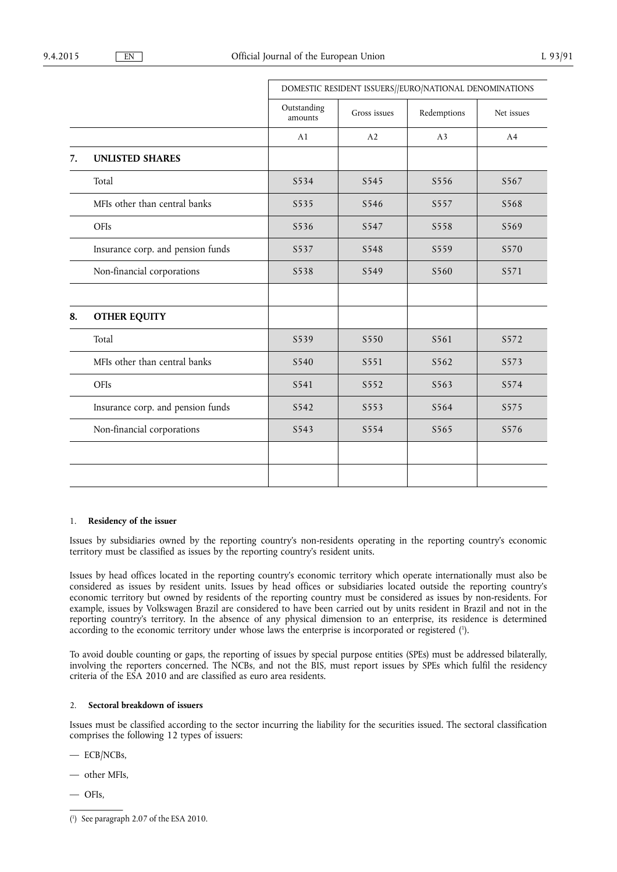|    |                                   | DOMESTIC RESIDENT ISSUERS//EURO/NATIONAL DENOMINATIONS |              |                  |            |
|----|-----------------------------------|--------------------------------------------------------|--------------|------------------|------------|
|    |                                   | Outstanding<br>amounts                                 | Gross issues | Redemptions      | Net issues |
|    |                                   | A1                                                     | A2           | A <sub>3</sub>   | A4         |
| 7. | <b>UNLISTED SHARES</b>            |                                                        |              |                  |            |
|    | Total                             | S534                                                   | S545         | S556             | S567       |
|    | MFIs other than central banks     | S535                                                   | S546         | S557             | S568       |
|    | OFIs                              | S536                                                   | S547         | S558             | S569       |
|    | Insurance corp. and pension funds | S537                                                   | S548         | S559             | S570       |
|    | Non-financial corporations        | S538                                                   | S549         | S <sub>560</sub> | S571       |
|    |                                   |                                                        |              |                  |            |
| 8. | <b>OTHER EQUITY</b>               |                                                        |              |                  |            |
|    | Total                             | S539                                                   | S550         | S561             | S572       |
|    | MFIs other than central banks     | S540                                                   | S551         | S562             | S573       |
|    | OFIs                              | S541                                                   | S552         | S563             | S574       |
|    | Insurance corp. and pension funds | S542                                                   | S553         | S564             | S575       |
|    | Non-financial corporations        | S543                                                   | S554         | S565             | S576       |
|    |                                   |                                                        |              |                  |            |
|    |                                   |                                                        |              |                  |            |

# 1. **Residency of the issuer**

Issues by subsidiaries owned by the reporting country's non-residents operating in the reporting country's economic territory must be classified as issues by the reporting country's resident units.

Issues by head offices located in the reporting country's economic territory which operate internationally must also be considered as issues by resident units. Issues by head offices or subsidiaries located outside the reporting country's economic territory but owned by residents of the reporting country must be considered as issues by non-residents. For example, issues by Volkswagen Brazil are considered to have been carried out by units resident in Brazil and not in the reporting country's territory. In the absence of any physical dimension to an enterprise, its residence is determined according to the economic territory under whose laws the enterprise is incorporated or registered (1).

To avoid double counting or gaps, the reporting of issues by special purpose entities (SPEs) must be addressed bilaterally, involving the reporters concerned. The NCBs, and not the BIS, must report issues by SPEs which fulfil the residency criteria of the ESA 2010 and are classified as euro area residents.

#### 2. **Sectoral breakdown of issuers**

Issues must be classified according to the sector incurring the liability for the securities issued. The sectoral classification comprises the following 12 types of issuers:

— ECB/NCBs,

— other MFIs,

— OFIs,

<sup>(</sup> 1 ) See paragraph 2.07 of the ESA 2010.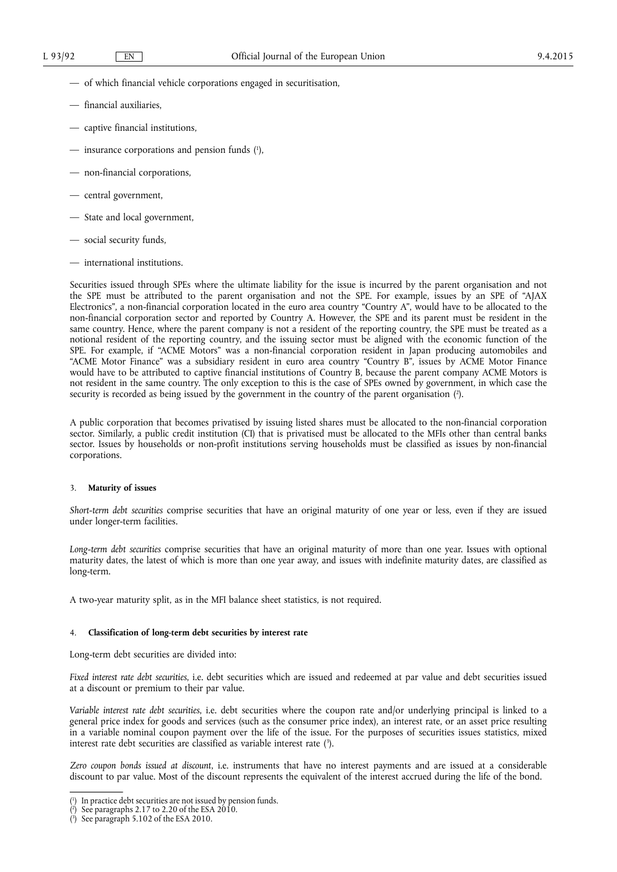- of which financial vehicle corporations engaged in securitisation,
- financial auxiliaries,
- captive financial institutions,
- insurance corporations and pension funds ( 1 ),
- non-financial corporations,
- central government,
- State and local government,
- social security funds,
- international institutions.

Securities issued through SPEs where the ultimate liability for the issue is incurred by the parent organisation and not the SPE must be attributed to the parent organisation and not the SPE. For example, issues by an SPE of "AJAX Electronics", a non-financial corporation located in the euro area country "Country A", would have to be allocated to the non-financial corporation sector and reported by Country A. However, the SPE and its parent must be resident in the same country. Hence, where the parent company is not a resident of the reporting country, the SPE must be treated as a notional resident of the reporting country, and the issuing sector must be aligned with the economic function of the SPE. For example, if "ACME Motors" was a non-financial corporation resident in Japan producing automobiles and "ACME Motor Finance" was a subsidiary resident in euro area country "Country B", issues by ACME Motor Finance would have to be attributed to captive financial institutions of Country B, because the parent company ACME Motors is not resident in the same country. The only exception to this is the case of SPEs owned by government, in which case the security is recorded as being issued by the government in the country of the parent organisation (?).

A public corporation that becomes privatised by issuing listed shares must be allocated to the non-financial corporation sector. Similarly, a public credit institution (CI) that is privatised must be allocated to the MFIs other than central banks sector. Issues by households or non-profit institutions serving households must be classified as issues by non-financial corporations.

#### 3. **Maturity of issues**

*Short-term debt securities* comprise securities that have an original maturity of one year or less, even if they are issued under longer-term facilities.

*Long-term debt securities* comprise securities that have an original maturity of more than one year. Issues with optional maturity dates, the latest of which is more than one year away, and issues with indefinite maturity dates, are classified as long-term.

A two-year maturity split, as in the MFI balance sheet statistics, is not required.

#### 4. **Classification of long-term debt securities by interest rate**

Long-term debt securities are divided into:

*Fixed interest rate debt securities*, i.e. debt securities which are issued and redeemed at par value and debt securities issued at a discount or premium to their par value.

*Variable interest rate debt securities*, i.e. debt securities where the coupon rate and/or underlying principal is linked to a general price index for goods and services (such as the consumer price index), an interest rate, or an asset price resulting in a variable nominal coupon payment over the life of the issue. For the purposes of securities issues statistics, mixed interest rate debt securities are classified as variable interest rate  $(3)$ .

*Zero coupon bonds issued at discount*, i.e. instruments that have no interest payments and are issued at a considerable discount to par value. Most of the discount represents the equivalent of the interest accrued during the life of the bond.

<sup>(</sup> 1 In practice debt securities are not issued by pension funds.

<sup>(</sup> 2 See paragraphs 2.17 to 2.20 of the ESA 2010.

<sup>(</sup> 3 ) See paragraph 5.102 of the ESA 2010.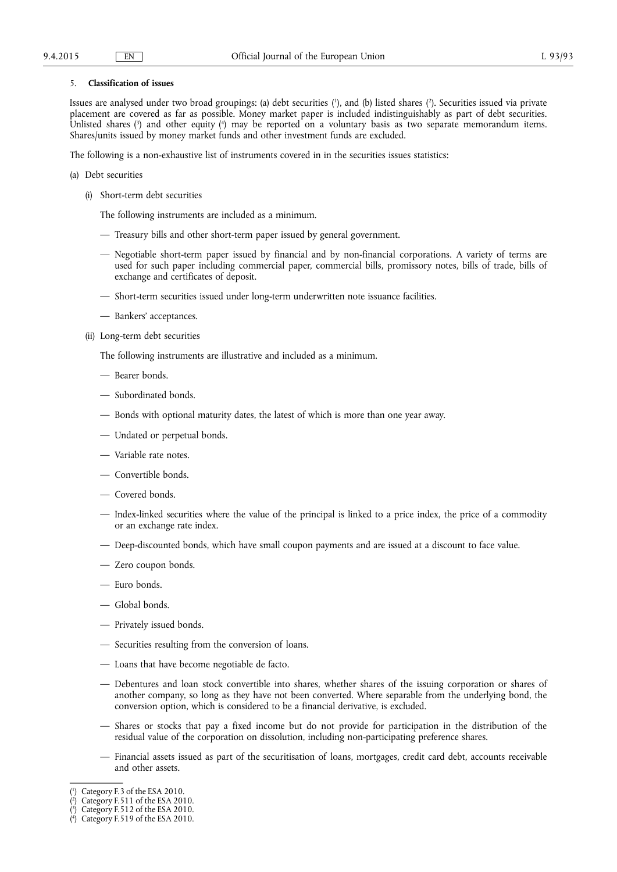#### 5. **Classification of issues**

Issues are analysed under two broad groupings: (a) debt securities (<sup>1</sup>), and (b) listed shares (<sup>2</sup>). Securities issued via private placement are covered as far as possible. Money market paper is included indistinguishably as part of debt securities. Unlisted shares (3) and other equity (4) may be reported on a voluntary basis as two separate memorandum items. Shares/units issued by money market funds and other investment funds are excluded.

The following is a non-exhaustive list of instruments covered in in the securities issues statistics:

- (a) Debt securities
	- (i) Short-term debt securities
		- The following instruments are included as a minimum.
		- Treasury bills and other short-term paper issued by general government.
		- Negotiable short-term paper issued by financial and by non-financial corporations. A variety of terms are used for such paper including commercial paper, commercial bills, promissory notes, bills of trade, bills of exchange and certificates of deposit.
		- Short-term securities issued under long-term underwritten note issuance facilities.
		- Bankers' acceptances.
	- (ii) Long-term debt securities

The following instruments are illustrative and included as a minimum.

- Bearer bonds.
- Subordinated bonds.
- Bonds with optional maturity dates, the latest of which is more than one year away.
- Undated or perpetual bonds.
- Variable rate notes.
- Convertible bonds.
- Covered bonds.
- Index-linked securities where the value of the principal is linked to a price index, the price of a commodity or an exchange rate index.
- Deep-discounted bonds, which have small coupon payments and are issued at a discount to face value.
- Zero coupon bonds.
- Euro bonds.
- Global bonds.
- Privately issued bonds.
- Securities resulting from the conversion of loans.
- Loans that have become negotiable de facto.
- Debentures and loan stock convertible into shares, whether shares of the issuing corporation or shares of another company, so long as they have not been converted. Where separable from the underlying bond, the conversion option, which is considered to be a financial derivative, is excluded.
- Shares or stocks that pay a fixed income but do not provide for participation in the distribution of the residual value of the corporation on dissolution, including non-participating preference shares.
- Financial assets issued as part of the securitisation of loans, mortgages, credit card debt, accounts receivable and other assets.

<sup>(</sup> 1 ) Category F.3 of the ESA 2010.

<sup>(</sup> 2 ) Category F.511 of the ESA 2010.

<sup>(</sup> 3 ) Category F.512 of the ESA 2010.

<sup>(</sup> 4 ) Category F.519 of the ESA 2010.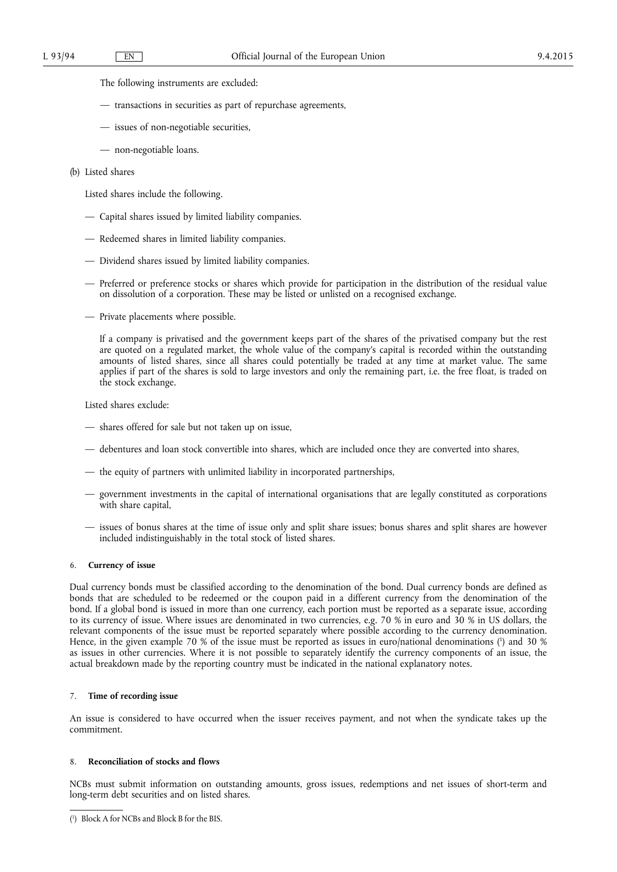The following instruments are excluded:

- transactions in securities as part of repurchase agreements,
- issues of non-negotiable securities,
- non-negotiable loans.
- (b) Listed shares

Listed shares include the following.

- Capital shares issued by limited liability companies.
- Redeemed shares in limited liability companies.
- Dividend shares issued by limited liability companies.
- Preferred or preference stocks or shares which provide for participation in the distribution of the residual value on dissolution of a corporation. These may be listed or unlisted on a recognised exchange.
- Private placements where possible.

If a company is privatised and the government keeps part of the shares of the privatised company but the rest are quoted on a regulated market, the whole value of the company's capital is recorded within the outstanding amounts of listed shares, since all shares could potentially be traded at any time at market value. The same applies if part of the shares is sold to large investors and only the remaining part, i.e. the free float, is traded on the stock exchange.

Listed shares exclude:

- shares offered for sale but not taken up on issue,
- debentures and loan stock convertible into shares, which are included once they are converted into shares,
- the equity of partners with unlimited liability in incorporated partnerships,
- government investments in the capital of international organisations that are legally constituted as corporations with share capital,
- issues of bonus shares at the time of issue only and split share issues; bonus shares and split shares are however included indistinguishably in the total stock of listed shares.

#### 6. **Currency of issue**

Dual currency bonds must be classified according to the denomination of the bond. Dual currency bonds are defined as bonds that are scheduled to be redeemed or the coupon paid in a different currency from the denomination of the bond. If a global bond is issued in more than one currency, each portion must be reported as a separate issue, according to its currency of issue. Where issues are denominated in two currencies, e.g. 70 % in euro and 30 % in US dollars, the relevant components of the issue must be reported separately where possible according to the currency denomination. Hence, in the given example 70 % of the issue must be reported as issues in euro/national denominations ( 1 ) and 30 % as issues in other currencies. Where it is not possible to separately identify the currency components of an issue, the actual breakdown made by the reporting country must be indicated in the national explanatory notes.

### 7. **Time of recording issue**

An issue is considered to have occurred when the issuer receives payment, and not when the syndicate takes up the commitment.

#### 8. **Reconciliation of stocks and flows**

NCBs must submit information on outstanding amounts, gross issues, redemptions and net issues of short-term and long-term debt securities and on listed shares.

<sup>(</sup> 1 ) Block A for NCBs and Block B for the BIS.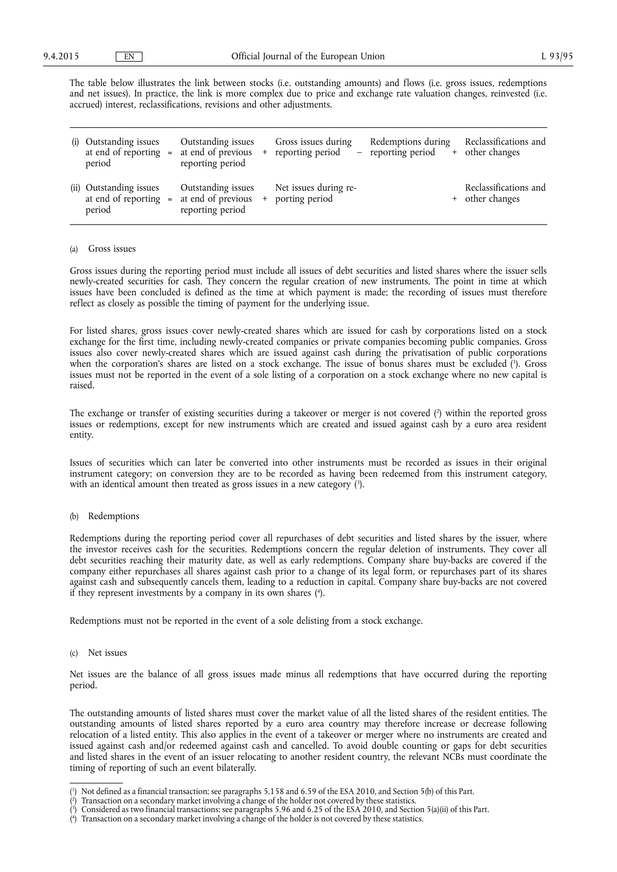The table below illustrates the link between stocks (i.e. outstanding amounts) and flows (i.e. gross issues, redemptions and net issues). In practice, the link is more complex due to price and exchange rate valuation changes, reinvested (i.e. accrued) interest, reclassifications, revisions and other adjustments.

| (i) | Outstanding issues<br>at end of reporting $\approx$<br>period      | Outstanding issues<br>at end of previous<br>reporting period |     | Gross issues during<br>reporting period | Redemptions during<br>reporting period | Reclassifications and<br>+ other changes |
|-----|--------------------------------------------------------------------|--------------------------------------------------------------|-----|-----------------------------------------|----------------------------------------|------------------------------------------|
|     | (ii) Outstanding issues<br>at end of reporting $\approx$<br>period | Outstanding issues<br>at end of previous<br>reporting period | $+$ | Net issues during re-<br>porting period |                                        | Reclassifications and<br>+ other changes |

#### (a) Gross issues

Gross issues during the reporting period must include all issues of debt securities and listed shares where the issuer sells newly-created securities for cash. They concern the regular creation of new instruments. The point in time at which issues have been concluded is defined as the time at which payment is made; the recording of issues must therefore reflect as closely as possible the timing of payment for the underlying issue.

For listed shares, gross issues cover newly-created shares which are issued for cash by corporations listed on a stock exchange for the first time, including newly-created companies or private companies becoming public companies. Gross issues also cover newly-created shares which are issued against cash during the privatisation of public corporations when the corporation's shares are listed on a stock exchange. The issue of bonus shares must be excluded ( 1 ). Gross issues must not be reported in the event of a sole listing of a corporation on a stock exchange where no new capital is raised.

The exchange or transfer of existing securities during a takeover or merger is not covered ( 2 ) within the reported gross issues or redemptions, except for new instruments which are created and issued against cash by a euro area resident entity.

Issues of securities which can later be converted into other instruments must be recorded as issues in their original instrument category; on conversion they are to be recorded as having been redeemed from this instrument category, with an identical amount then treated as gross issues in a new category  $(3)$ .

#### (b) Redemptions

Redemptions during the reporting period cover all repurchases of debt securities and listed shares by the issuer, where the investor receives cash for the securities. Redemptions concern the regular deletion of instruments. They cover all debt securities reaching their maturity date, as well as early redemptions. Company share buy-backs are covered if the company either repurchases all shares against cash prior to a change of its legal form, or repurchases part of its shares against cash and subsequently cancels them, leading to a reduction in capital. Company share buy-backs are not covered if they represent investments by a company in its own shares ( 4 ).

Redemptions must not be reported in the event of a sole delisting from a stock exchange.

#### (c) Net issues

Net issues are the balance of all gross issues made minus all redemptions that have occurred during the reporting period.

The outstanding amounts of listed shares must cover the market value of all the listed shares of the resident entities. The outstanding amounts of listed shares reported by a euro area country may therefore increase or decrease following relocation of a listed entity. This also applies in the event of a takeover or merger where no instruments are created and issued against cash and/or redeemed against cash and cancelled. To avoid double counting or gaps for debt securities and listed shares in the event of an issuer relocating to another resident country, the relevant NCBs must coordinate the timing of reporting of such an event bilaterally.

<sup>(</sup> 1 ) Not defined as a financial transaction; see paragraphs 5.158 and 6.59 of the ESA 2010, and Section 5(b) of this Part.

<sup>(</sup> 2 ) Transaction on a secondary market involving a change of the holder not covered by these statistics.

<sup>(</sup> 3 ) Considered as two financial transactions; see paragraphs 5.96 and 6.25 of the ESA 2010, and Section 5(a)(ii) of this Part.

<sup>(</sup> 4 ) Transaction on a secondary market involving a change of the holder is not covered by these statistics.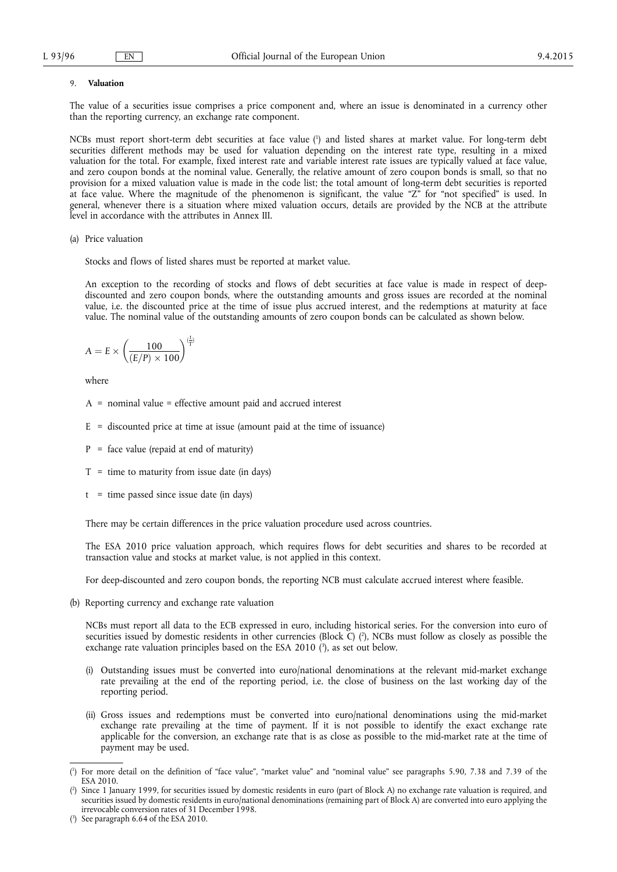#### 9. **Valuation**

The value of a securities issue comprises a price component and, where an issue is denominated in a currency other than the reporting currency, an exchange rate component.

NCBs must report short-term debt securities at face value ( 1 ) and listed shares at market value. For long-term debt securities different methods may be used for valuation depending on the interest rate type, resulting in a mixed valuation for the total. For example, fixed interest rate and variable interest rate issues are typically valued at face value, and zero coupon bonds at the nominal value. Generally, the relative amount of zero coupon bonds is small, so that no provision for a mixed valuation value is made in the code list; the total amount of long-term debt securities is reported at face value. Where the magnitude of the phenomenon is significant, the value "Z" for "not specified" is used. In general, whenever there is a situation where mixed valuation occurs, details are provided by the NCB at the attribute level in accordance with the attributes in Annex III.

(a) Price valuation

Stocks and flows of listed shares must be reported at market value.

An exception to the recording of stocks and flows of debt securities at face value is made in respect of deepdiscounted and zero coupon bonds, where the outstanding amounts and gross issues are recorded at the nominal value, i.e. the discounted price at the time of issue plus accrued interest, and the redemptions at maturity at face value. The nominal value of the outstanding amounts of zero coupon bonds can be calculated as shown below.

$$
A=E\times\left(\frac{100}{(E/P)\times 100}\right)^{(\frac{L}{T})}
$$

where

- A = nominal value = effective amount paid and accrued interest
- $E =$  discounted price at time at issue (amount paid at the time of issuance)
- $P =$  face value (repaid at end of maturity)
- $T =$  time to maturity from issue date (in days)
- $t =$  time passed since issue date (in days)

There may be certain differences in the price valuation procedure used across countries.

The ESA 2010 price valuation approach, which requires flows for debt securities and shares to be recorded at transaction value and stocks at market value, is not applied in this context.

For deep-discounted and zero coupon bonds, the reporting NCB must calculate accrued interest where feasible.

(b) Reporting currency and exchange rate valuation

NCBs must report all data to the ECB expressed in euro, including historical series. For the conversion into euro of securities issued by domestic residents in other currencies (Block C) ( 2 ), NCBs must follow as closely as possible the exchange rate valuation principles based on the ESA 2010 (3), as set out below.

- (i) Outstanding issues must be converted into euro/national denominations at the relevant mid-market exchange rate prevailing at the end of the reporting period, i.e. the close of business on the last working day of the reporting period.
- (ii) Gross issues and redemptions must be converted into euro/national denominations using the mid-market exchange rate prevailing at the time of payment. If it is not possible to identify the exact exchange rate applicable for the conversion, an exchange rate that is as close as possible to the mid-market rate at the time of payment may be used.

<sup>(</sup> 1 ) For more detail on the definition of "face value", "market value" and "nominal value" see paragraphs 5.90, 7.38 and 7.39 of the ESA 2010.

<sup>(</sup> 2 ) Since 1 January 1999, for securities issued by domestic residents in euro (part of Block A) no exchange rate valuation is required, and securities issued by domestic residents in euro/national denominations (remaining part of Block A) are converted into euro applying the irrevocable conversion rates of 31 December 1998.

<sup>(</sup> 3 ) See paragraph 6.64 of the ESA 2010.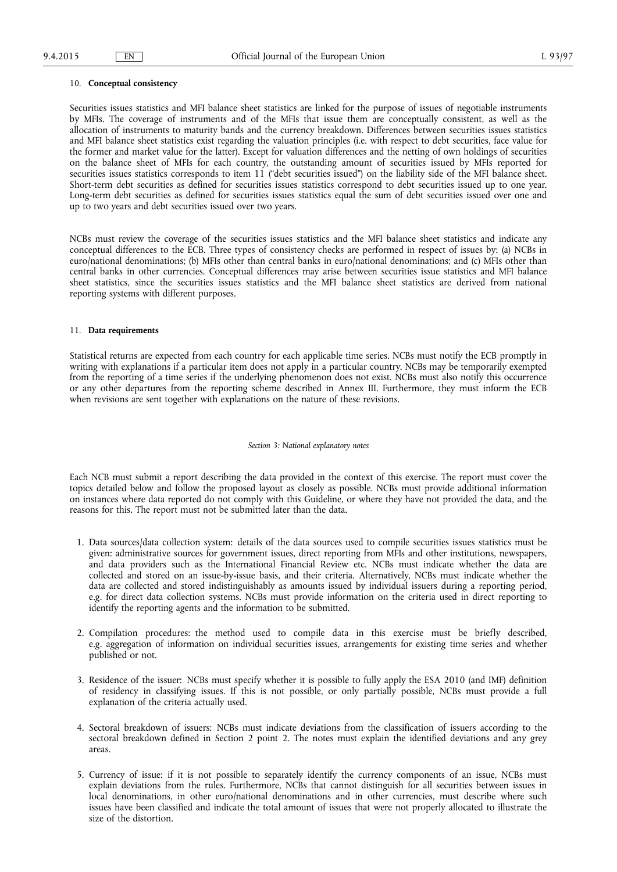#### 10. **Conceptual consistency**

Securities issues statistics and MFI balance sheet statistics are linked for the purpose of issues of negotiable instruments by MFIs. The coverage of instruments and of the MFIs that issue them are conceptually consistent, as well as the allocation of instruments to maturity bands and the currency breakdown. Differences between securities issues statistics and MFI balance sheet statistics exist regarding the valuation principles (i.e. with respect to debt securities, face value for the former and market value for the latter). Except for valuation differences and the netting of own holdings of securities on the balance sheet of MFIs for each country, the outstanding amount of securities issued by MFIs reported for securities issues statistics corresponds to item 11 ("debt securities issued") on the liability side of the MFI balance sheet. Short-term debt securities as defined for securities issues statistics correspond to debt securities issued up to one year. Long-term debt securities as defined for securities issues statistics equal the sum of debt securities issued over one and up to two years and debt securities issued over two years.

NCBs must review the coverage of the securities issues statistics and the MFI balance sheet statistics and indicate any conceptual differences to the ECB. Three types of consistency checks are performed in respect of issues by: (a) NCBs in euro/national denominations; (b) MFIs other than central banks in euro/national denominations; and (c) MFIs other than central banks in other currencies. Conceptual differences may arise between securities issue statistics and MFI balance sheet statistics, since the securities issues statistics and the MFI balance sheet statistics are derived from national reporting systems with different purposes.

#### 11. **Data requirements**

Statistical returns are expected from each country for each applicable time series. NCBs must notify the ECB promptly in writing with explanations if a particular item does not apply in a particular country. NCBs may be temporarily exempted from the reporting of a time series if the underlying phenomenon does not exist. NCBs must also notify this occurrence or any other departures from the reporting scheme described in Annex III. Furthermore, they must inform the ECB when revisions are sent together with explanations on the nature of these revisions.

#### *Section 3: National explanatory notes*

Each NCB must submit a report describing the data provided in the context of this exercise. The report must cover the topics detailed below and follow the proposed layout as closely as possible. NCBs must provide additional information on instances where data reported do not comply with this Guideline, or where they have not provided the data, and the reasons for this. The report must not be submitted later than the data.

- 1. Data sources/data collection system: details of the data sources used to compile securities issues statistics must be given: administrative sources for government issues, direct reporting from MFIs and other institutions, newspapers, and data providers such as the International Financial Review etc. NCBs must indicate whether the data are collected and stored on an issue-by-issue basis, and their criteria. Alternatively, NCBs must indicate whether the data are collected and stored indistinguishably as amounts issued by individual issuers during a reporting period, e.g. for direct data collection systems. NCBs must provide information on the criteria used in direct reporting to identify the reporting agents and the information to be submitted.
- 2. Compilation procedures: the method used to compile data in this exercise must be briefly described, e.g. aggregation of information on individual securities issues, arrangements for existing time series and whether published or not.
- 3. Residence of the issuer: NCBs must specify whether it is possible to fully apply the ESA 2010 (and IMF) definition of residency in classifying issues. If this is not possible, or only partially possible, NCBs must provide a full explanation of the criteria actually used.
- 4. Sectoral breakdown of issuers: NCBs must indicate deviations from the classification of issuers according to the sectoral breakdown defined in Section 2 point 2. The notes must explain the identified deviations and any grey areas.
- 5. Currency of issue: if it is not possible to separately identify the currency components of an issue, NCBs must explain deviations from the rules. Furthermore, NCBs that cannot distinguish for all securities between issues in local denominations, in other euro/national denominations and in other currencies, must describe where such issues have been classified and indicate the total amount of issues that were not properly allocated to illustrate the size of the distortion.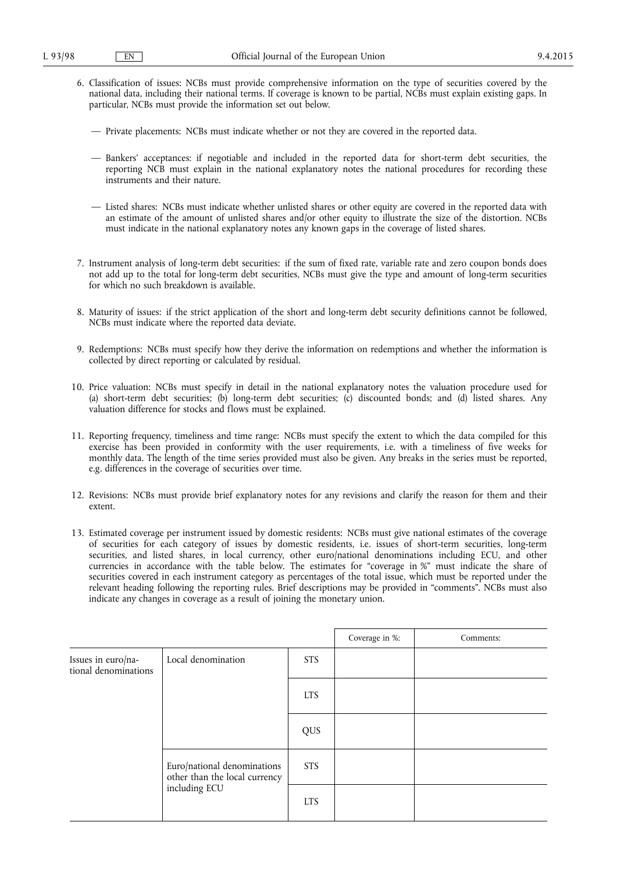- 6. Classification of issues: NCBs must provide comprehensive information on the type of securities covered by the national data, including their national terms. If coverage is known to be partial, NCBs must explain existing gaps. In particular, NCBs must provide the information set out below.
	- Private placements: NCBs must indicate whether or not they are covered in the reported data.
	- Bankers' acceptances: if negotiable and included in the reported data for short-term debt securities, the reporting NCB must explain in the national explanatory notes the national procedures for recording these instruments and their nature.
	- Listed shares: NCBs must indicate whether unlisted shares or other equity are covered in the reported data with an estimate of the amount of unlisted shares and/or other equity to illustrate the size of the distortion. NCBs must indicate in the national explanatory notes any known gaps in the coverage of listed shares.
- 7. Instrument analysis of long-term debt securities: if the sum of fixed rate, variable rate and zero coupon bonds does not add up to the total for long-term debt securities, NCBs must give the type and amount of long-term securities for which no such breakdown is available.
- 8. Maturity of issues: if the strict application of the short and long-term debt security definitions cannot be followed, NCBs must indicate where the reported data deviate.
- 9. Redemptions: NCBs must specify how they derive the information on redemptions and whether the information is collected by direct reporting or calculated by residual.
- 10. Price valuation: NCBs must specify in detail in the national explanatory notes the valuation procedure used for (a) short-term debt securities; (b) long-term debt securities; (c) discounted bonds; and (d) listed shares. Any valuation difference for stocks and flows must be explained.
- 11. Reporting frequency, timeliness and time range: NCBs must specify the extent to which the data compiled for this exercise has been provided in conformity with the user requirements, i.e. with a timeliness of five weeks for monthly data. The length of the time series provided must also be given. Any breaks in the series must be reported, e.g. differences in the coverage of securities over time.
- 12. Revisions: NCBs must provide brief explanatory notes for any revisions and clarify the reason for them and their extent.
- 13. Estimated coverage per instrument issued by domestic residents: NCBs must give national estimates of the coverage of securities for each category of issues by domestic residents, i.e. issues of short-term securities, long-term securities, and listed shares, in local currency, other euro/national denominations including ECU, and other currencies in accordance with the table below. The estimates for "coverage in %" must indicate the share of securities covered in each instrument category as percentages of the total issue, which must be reported under the relevant heading following the reporting rules. Brief descriptions may be provided in "comments". NCBs must also indicate any changes in coverage as a result of joining the monetary union.

|                                            |                                                              |            | Coverage in %: | Comments: |
|--------------------------------------------|--------------------------------------------------------------|------------|----------------|-----------|
| Issues in euro/na-<br>tional denominations | Local denomination                                           | <b>STS</b> |                |           |
|                                            |                                                              | <b>LTS</b> |                |           |
|                                            |                                                              | QUS        |                |           |
|                                            | Euro/national denominations<br>other than the local currency | <b>STS</b> |                |           |
|                                            | including ECU                                                | <b>LTS</b> |                |           |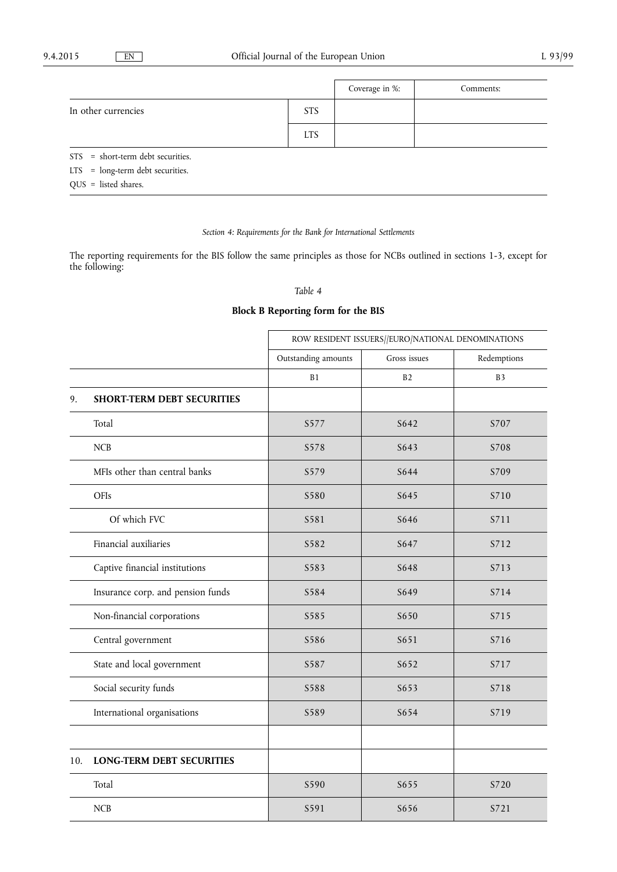|                                     |            | Coverage in %: | Comments: |  |
|-------------------------------------|------------|----------------|-----------|--|
| In other currencies                 | <b>STS</b> |                |           |  |
|                                     | <b>LTS</b> |                |           |  |
| $STS = short-term debt securities.$ |            |                |           |  |
| $LTS = long-term debt securities.$  |            |                |           |  |

QUS = listed shares.

# *Section 4: Requirements for the Bank for International Settlements*

The reporting requirements for the BIS follow the same principles as those for NCBs outlined in sections 1-3, except for the following:

## *Table 4*

# **Block B Reporting form for the BIS**

|                                   | ROW RESIDENT ISSUERS//EURO/NATIONAL DENOMINATIONS |              |                |
|-----------------------------------|---------------------------------------------------|--------------|----------------|
|                                   | Outstanding amounts                               | Gross issues | Redemptions    |
|                                   | B1                                                | B2           | B <sub>3</sub> |
| <b>SHORT-TERM DEBT SECURITIES</b> |                                                   |              |                |
| Total                             | S577                                              | S642         | S707           |
| <b>NCB</b>                        | S578                                              | S643         | S708           |
| MFIs other than central banks     | S579                                              | S644         | S709           |
| OFIs                              | S580                                              | S645         | S710           |
| Of which FVC                      | S581                                              | S646         | S711           |
| Financial auxiliaries             | S582                                              | S647         | S712           |
| Captive financial institutions    | S583                                              | S648         | S713           |
| Insurance corp. and pension funds | S584                                              | S649         | S714           |
| Non-financial corporations        | S585                                              | S650         | S715           |
| Central government                | S586                                              | S651         | S716           |
| State and local government        | S587                                              | S652         | S717           |
| Social security funds             | S588                                              | S653         | S718           |
| International organisations       | S589                                              | S654         | S719           |
|                                   |                                                   |              |                |
| <b>LONG-TERM DEBT SECURITIES</b>  |                                                   |              |                |
| Total                             | S590                                              | S655         | S720           |
| <b>NCB</b>                        | S591                                              | S656         | S721           |
|                                   |                                                   |              |                |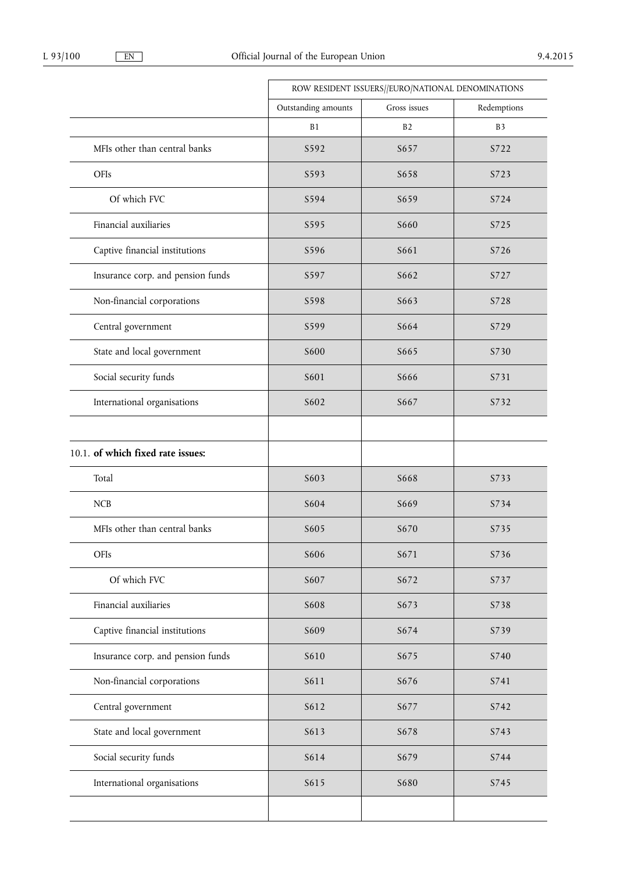|                                   |                     | ROW RESIDENT ISSUERS//EURO/NATIONAL DENOMINATIONS |                |  |
|-----------------------------------|---------------------|---------------------------------------------------|----------------|--|
|                                   | Outstanding amounts | Gross issues                                      | Redemptions    |  |
|                                   | B1                  | B <sub>2</sub>                                    | B <sub>3</sub> |  |
| MFIs other than central banks     | S592                | S657                                              | S722           |  |
| OFIs                              | S593                | S658                                              | S723           |  |
| Of which FVC                      | S594                | S659                                              | S724           |  |
| Financial auxiliaries             | S595                | S660                                              | S725           |  |
| Captive financial institutions    | S596                | S661                                              | S726           |  |
| Insurance corp. and pension funds | S597                | S662                                              | S727           |  |
| Non-financial corporations        | S598                | S663                                              | S728           |  |
| Central government                | S599                | S664                                              | S729           |  |
| State and local government        | S600                | S665                                              | S730           |  |
| Social security funds             | S601                | S666                                              | S731           |  |
| International organisations       | S602                | S667                                              | S732           |  |
| 10.1. of which fixed rate issues: |                     |                                                   |                |  |
| Total                             | S603                | S668                                              | S733           |  |
| <b>NCB</b>                        | S604                | S669                                              | S734           |  |
| MFIs other than central banks     | S605                | S670                                              | S735           |  |
| OFIs                              | S606                | S671                                              | S736           |  |
| Of which FVC                      | S607                | S672                                              | S737           |  |
| Financial auxiliaries             | S608                | S673                                              | S738           |  |
| Captive financial institutions    | S609                | S674                                              | S739           |  |
| Insurance corp. and pension funds | S610                | S675                                              | S740           |  |
| Non-financial corporations        | S611                | S676                                              | S741           |  |
| Central government                | S612                | S677                                              | S742           |  |
| State and local government        | S613                | S678                                              | S743           |  |
| Social security funds             | S614                | S679                                              | S744           |  |
| International organisations       | S615                | <b>S680</b>                                       | S745           |  |
|                                   |                     |                                                   |                |  |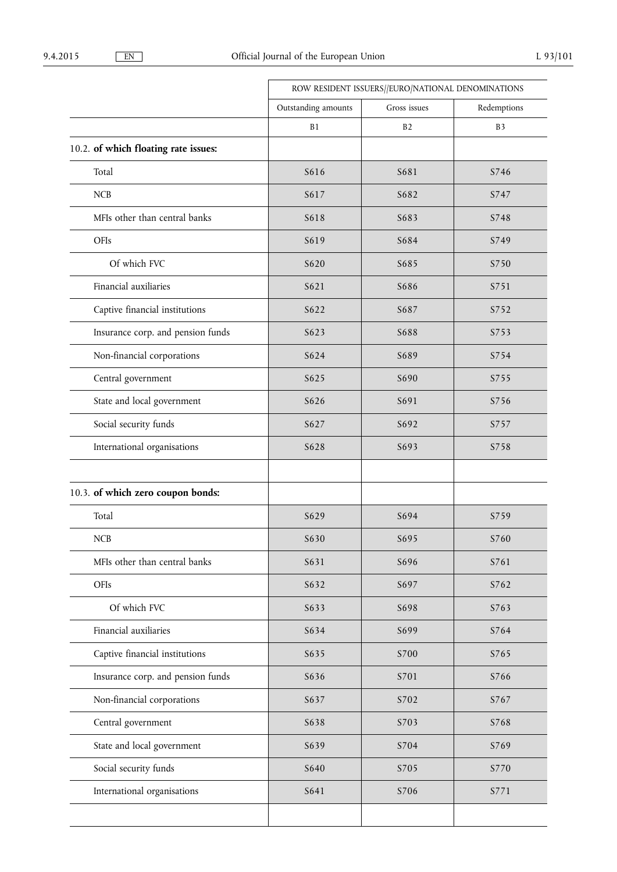|                     | ROW RESIDENT ISSUERS//EURO/NATIONAL DENOMINATIONS |                |  |
|---------------------|---------------------------------------------------|----------------|--|
| Outstanding amounts | Gross issues                                      | Redemptions    |  |
| <b>B1</b>           | B <sub>2</sub>                                    | B <sub>3</sub> |  |
|                     |                                                   |                |  |
| S616                | S681                                              | S746           |  |
| S617                | S682                                              | S747           |  |
| S618                | S683                                              | S748           |  |
| S619                | S684                                              | S749           |  |
| S620                | S685                                              | S750           |  |
| S621                | S686                                              | S751           |  |
| S622                | S687                                              | S752           |  |
| S623                | S688                                              | S753           |  |
| S624                | S689                                              | S754           |  |
| S625                | S690                                              | S755           |  |
| S626                | S691                                              | S756           |  |
| S627                | S692                                              | S757           |  |
| S628                | S693                                              | S758           |  |
|                     |                                                   |                |  |
| S629                | S694                                              | S759           |  |
| S630                | S695                                              | S760           |  |
| S631                | S696                                              | S761           |  |
| S632                | S697                                              | S762           |  |
| S633                | S698                                              | S763           |  |
| S634                | S699                                              | S764           |  |
| S635                | S700                                              | S765           |  |
| S636                | S701                                              | S766           |  |
| S637                | S702                                              | S767           |  |
| S638                | S703                                              | S768           |  |
| S639                | S704                                              | S769           |  |
| S640                | S705                                              | S770           |  |
| S641                | S706                                              | S771           |  |
|                     |                                                   |                |  |